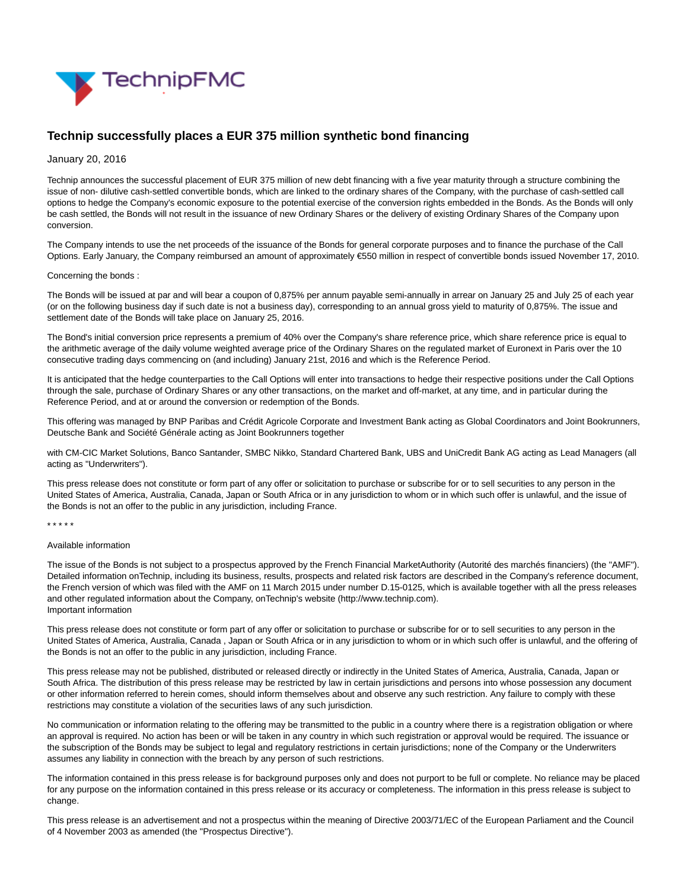

# **Technip successfully places a EUR 375 million synthetic bond financing**

# January 20, 2016

Technip announces the successful placement of EUR 375 million of new debt financing with a five year maturity through a structure combining the issue of non- dilutive cash-settled convertible bonds, which are linked to the ordinary shares of the Company, with the purchase of cash-settled call options to hedge the Company's economic exposure to the potential exercise of the conversion rights embedded in the Bonds. As the Bonds will only be cash settled, the Bonds will not result in the issuance of new Ordinary Shares or the delivery of existing Ordinary Shares of the Company upon conversion.

The Company intends to use the net proceeds of the issuance of the Bonds for general corporate purposes and to finance the purchase of the Call Options. Early January, the Company reimbursed an amount of approximately €550 million in respect of convertible bonds issued November 17, 2010.

# Concerning the bonds :

The Bonds will be issued at par and will bear a coupon of 0,875% per annum payable semi-annually in arrear on January 25 and July 25 of each year (or on the following business day if such date is not a business day), corresponding to an annual gross yield to maturity of 0,875%. The issue and settlement date of the Bonds will take place on January 25, 2016.

The Bond's initial conversion price represents a premium of 40% over the Company's share reference price, which share reference price is equal to the arithmetic average of the daily volume weighted average price of the Ordinary Shares on the regulated market of Euronext in Paris over the 10 consecutive trading days commencing on (and including) January 21st, 2016 and which is the Reference Period.

It is anticipated that the hedge counterparties to the Call Options will enter into transactions to hedge their respective positions under the Call Options through the sale, purchase of Ordinary Shares or any other transactions, on the market and off-market, at any time, and in particular during the Reference Period, and at or around the conversion or redemption of the Bonds.

This offering was managed by BNP Paribas and Crédit Agricole Corporate and Investment Bank acting as Global Coordinators and Joint Bookrunners, Deutsche Bank and Société Générale acting as Joint Bookrunners together

with CM-CIC Market Solutions, Banco Santander, SMBC Nikko, Standard Chartered Bank, UBS and UniCredit Bank AG acting as Lead Managers (all acting as "Underwriters").

This press release does not constitute or form part of any offer or solicitation to purchase or subscribe for or to sell securities to any person in the United States of America, Australia, Canada, Japan or South Africa or in any jurisdiction to whom or in which such offer is unlawful, and the issue of the Bonds is not an offer to the public in any jurisdiction, including France.

\* \* \* \* \*

# Available information

The issue of the Bonds is not subject to a prospectus approved by the French Financial MarketAuthority (Autorité des marchés financiers) (the "AMF"). Detailed information onTechnip, including its business, results, prospects and related risk factors are described in the Company's reference document, the French version of which was filed with the AMF on 11 March 2015 under number D.15-0125, which is available together with all the press releases and other regulated information about the Company, onTechnip's website (http://www.technip.com). Important information

This press release does not constitute or form part of any offer or solicitation to purchase or subscribe for or to sell securities to any person in the United States of America, Australia, Canada , Japan or South Africa or in any jurisdiction to whom or in which such offer is unlawful, and the offering of the Bonds is not an offer to the public in any jurisdiction, including France.

This press release may not be published, distributed or released directly or indirectly in the United States of America, Australia, Canada, Japan or South Africa. The distribution of this press release may be restricted by law in certain jurisdictions and persons into whose possession any document or other information referred to herein comes, should inform themselves about and observe any such restriction. Any failure to comply with these restrictions may constitute a violation of the securities laws of any such jurisdiction.

No communication or information relating to the offering may be transmitted to the public in a country where there is a registration obligation or where an approval is required. No action has been or will be taken in any country in which such registration or approval would be required. The issuance or the subscription of the Bonds may be subject to legal and regulatory restrictions in certain jurisdictions; none of the Company or the Underwriters assumes any liability in connection with the breach by any person of such restrictions.

The information contained in this press release is for background purposes only and does not purport to be full or complete. No reliance may be placed for any purpose on the information contained in this press release or its accuracy or completeness. The information in this press release is subject to change.

This press release is an advertisement and not a prospectus within the meaning of Directive 2003/71/EC of the European Parliament and the Council of 4 November 2003 as amended (the "Prospectus Directive").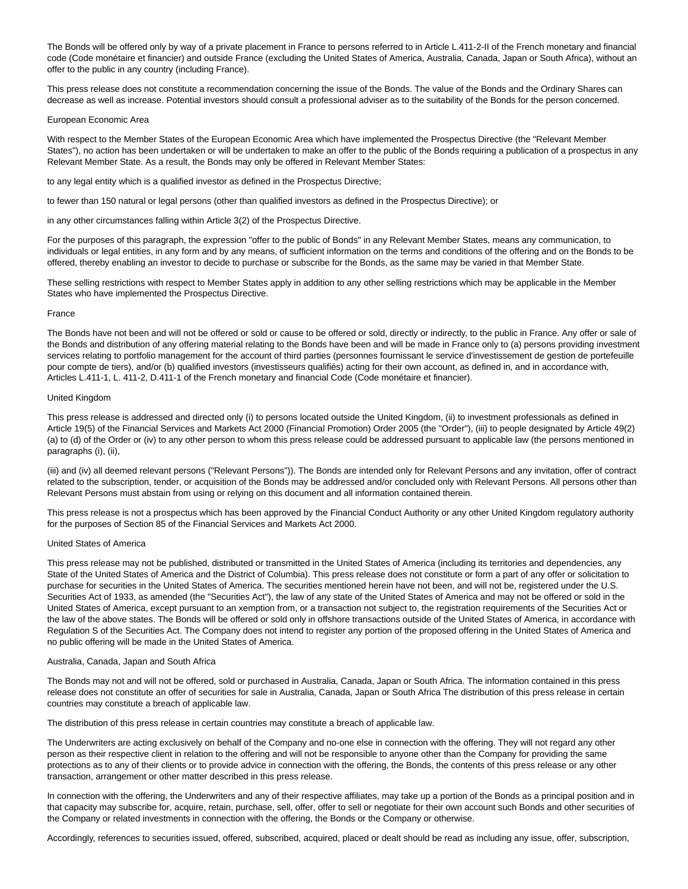The Bonds will be offered only by way of a private placement in France to persons referred to in Article L.411-2-II of the French monetary and financial code (Code monétaire et financier) and outside France (excluding the United States of America, Australia, Canada, Japan or South Africa), without an offer to the public in any country (including France).

This press release does not constitute a recommendation concerning the issue of the Bonds. The value of the Bonds and the Ordinary Shares can decrease as well as increase. Potential investors should consult a professional adviser as to the suitability of the Bonds for the person concerned.

#### European Economic Area

With respect to the Member States of the European Economic Area which have implemented the Prospectus Directive (the "Relevant Member States"), no action has been undertaken or will be undertaken to make an offer to the public of the Bonds requiring a publication of a prospectus in any Relevant Member State. As a result, the Bonds may only be offered in Relevant Member States:

to any legal entity which is a qualified investor as defined in the Prospectus Directive;

to fewer than 150 natural or legal persons (other than qualified investors as defined in the Prospectus Directive); or

in any other circumstances falling within Article 3(2) of the Prospectus Directive.

For the purposes of this paragraph, the expression "offer to the public of Bonds" in any Relevant Member States, means any communication, to individuals or legal entities, in any form and by any means, of sufficient information on the terms and conditions of the offering and on the Bonds to be offered, thereby enabling an investor to decide to purchase or subscribe for the Bonds, as the same may be varied in that Member State.

These selling restrictions with respect to Member States apply in addition to any other selling restrictions which may be applicable in the Member States who have implemented the Prospectus Directive.

# France

The Bonds have not been and will not be offered or sold or cause to be offered or sold, directly or indirectly, to the public in France. Any offer or sale of the Bonds and distribution of any offering material relating to the Bonds have been and will be made in France only to (a) persons providing investment services relating to portfolio management for the account of third parties (personnes fournissant le service d'investissement de gestion de portefeuille pour compte de tiers), and/or (b) qualified investors (investisseurs qualifiés) acting for their own account, as defined in, and in accordance with, Articles L.411-1, L. 411-2, D.411-1 of the French monetary and financial Code (Code monétaire et financier).

# United Kingdom

This press release is addressed and directed only (i) to persons located outside the United Kingdom, (ii) to investment professionals as defined in Article 19(5) of the Financial Services and Markets Act 2000 (Financial Promotion) Order 2005 (the "Order"), (iii) to people designated by Article 49(2) (a) to (d) of the Order or (iv) to any other person to whom this press release could be addressed pursuant to applicable law (the persons mentioned in paragraphs (i), (ii),

(iii) and (iv) all deemed relevant persons ("Relevant Persons")). The Bonds are intended only for Relevant Persons and any invitation, offer of contract related to the subscription, tender, or acquisition of the Bonds may be addressed and/or concluded only with Relevant Persons. All persons other than Relevant Persons must abstain from using or relying on this document and all information contained therein.

This press release is not a prospectus which has been approved by the Financial Conduct Authority or any other United Kingdom regulatory authority for the purposes of Section 85 of the Financial Services and Markets Act 2000.

# United States of America

This press release may not be published, distributed or transmitted in the United States of America (including its territories and dependencies, any State of the United States of America and the District of Columbia). This press release does not constitute or form a part of any offer or solicitation to purchase for securities in the United States of America. The securities mentioned herein have not been, and will not be, registered under the U.S. Securities Act of 1933, as amended (the "Securities Act"), the law of any state of the United States of America and may not be offered or sold in the United States of America, except pursuant to an xemption from, or a transaction not subject to, the registration requirements of the Securities Act or the law of the above states. The Bonds will be offered or sold only in offshore transactions outside of the United States of America, in accordance with Regulation S of the Securities Act. The Company does not intend to register any portion of the proposed offering in the United States of America and no public offering will be made in the United States of America.

# Australia, Canada, Japan and South Africa

The Bonds may not and will not be offered, sold or purchased in Australia, Canada, Japan or South Africa. The information contained in this press release does not constitute an offer of securities for sale in Australia, Canada, Japan or South Africa The distribution of this press release in certain countries may constitute a breach of applicable law.

The distribution of this press release in certain countries may constitute a breach of applicable law.

The Underwriters are acting exclusively on behalf of the Company and no-one else in connection with the offering. They will not regard any other person as their respective client in relation to the offering and will not be responsible to anyone other than the Company for providing the same protections as to any of their clients or to provide advice in connection with the offering, the Bonds, the contents of this press release or any other transaction, arrangement or other matter described in this press release.

In connection with the offering, the Underwriters and any of their respective affiliates, may take up a portion of the Bonds as a principal position and in that capacity may subscribe for, acquire, retain, purchase, sell, offer, offer to sell or negotiate for their own account such Bonds and other securities of the Company or related investments in connection with the offering, the Bonds or the Company or otherwise.

Accordingly, references to securities issued, offered, subscribed, acquired, placed or dealt should be read as including any issue, offer, subscription,